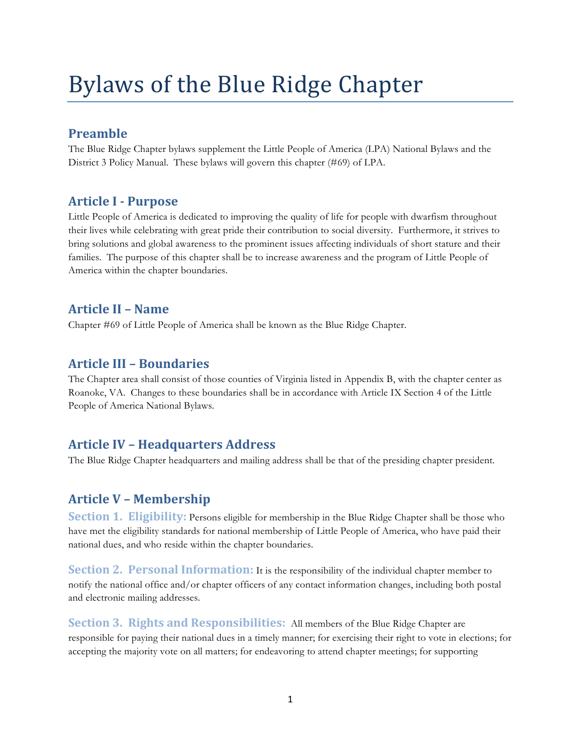# Bylaws of the Blue Ridge Chapter

## **Preamble**

The Blue Ridge Chapter bylaws supplement the Little People of America (LPA) National Bylaws and the District 3 Policy Manual. These bylaws will govern this chapter (#69) of LPA.

#### **Article I - Purpose**

Little People of America is dedicated to improving the quality of life for people with dwarfism throughout their lives while celebrating with great pride their contribution to social diversity. Furthermore, it strives to bring solutions and global awareness to the prominent issues affecting individuals of short stature and their families. The purpose of this chapter shall be to increase awareness and the program of Little People of America within the chapter boundaries.

## **Article II – Name**

Chapter #69 of Little People of America shall be known as the Blue Ridge Chapter.

## **Article III – Boundaries**

The Chapter area shall consist of those counties of Virginia listed in Appendix B, with the chapter center as Roanoke, VA. Changes to these boundaries shall be in accordance with Article IX Section 4 of the Little People of America National Bylaws.

## **Article IV – Headquarters Address**

The Blue Ridge Chapter headquarters and mailing address shall be that of the presiding chapter president.

# **Article V – Membership**

**Section 1. Eligibility:** Persons eligible for membership in the Blue Ridge Chapter shall be those who have met the eligibility standards for national membership of Little People of America, who have paid their national dues, and who reside within the chapter boundaries.

**Section 2. Personal Information:** It is the responsibility of the individual chapter member to notify the national office and/or chapter officers of any contact information changes, including both postal and electronic mailing addresses.

**Section 3. Rights and Responsibilities:** All members of the Blue Ridge Chapter are responsible for paying their national dues in a timely manner; for exercising their right to vote in elections; for accepting the majority vote on all matters; for endeavoring to attend chapter meetings; for supporting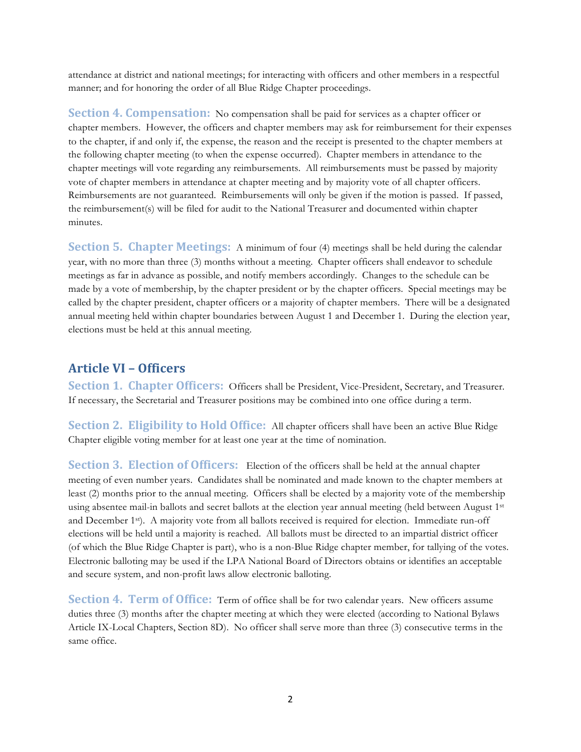attendance at district and national meetings; for interacting with officers and other members in a respectful manner; and for honoring the order of all Blue Ridge Chapter proceedings.

**Section 4. Compensation:** No compensation shall be paid for services as a chapter officer or chapter members. However, the officers and chapter members may ask for reimbursement for their expenses to the chapter, if and only if, the expense, the reason and the receipt is presented to the chapter members at the following chapter meeting (to when the expense occurred). Chapter members in attendance to the chapter meetings will vote regarding any reimbursements. All reimbursements must be passed by majority vote of chapter members in attendance at chapter meeting and by majority vote of all chapter officers. Reimbursements are not guaranteed. Reimbursements will only be given if the motion is passed. If passed, the reimbursement(s) will be filed for audit to the National Treasurer and documented within chapter minutes.

**Section 5. Chapter Meetings:** A minimum of four (4) meetings shall be held during the calendar year, with no more than three (3) months without a meeting. Chapter officers shall endeavor to schedule meetings as far in advance as possible, and notify members accordingly. Changes to the schedule can be made by a vote of membership, by the chapter president or by the chapter officers. Special meetings may be called by the chapter president, chapter officers or a majority of chapter members. There will be a designated annual meeting held within chapter boundaries between August 1 and December 1. During the election year, elections must be held at this annual meeting.

## **Article VI – Officers**

**Section 1. Chapter Officers:** Officers shall be President, Vice-President, Secretary, and Treasurer. If necessary, the Secretarial and Treasurer positions may be combined into one office during a term.

**Section 2. Eligibility to Hold Office:** All chapter officers shall have been an active Blue Ridge Chapter eligible voting member for at least one year at the time of nomination.

**Section 3. Election of Officers:** Election of the officers shall be held at the annual chapter meeting of even number years. Candidates shall be nominated and made known to the chapter members at least (2) months prior to the annual meeting. Officers shall be elected by a majority vote of the membership using absentee mail-in ballots and secret ballots at the election year annual meeting (held between August 1st and December 1st). A majority vote from all ballots received is required for election. Immediate run-off elections will be held until a majority is reached. All ballots must be directed to an impartial district officer (of which the Blue Ridge Chapter is part), who is a non-Blue Ridge chapter member, for tallying of the votes. Electronic balloting may be used if the LPA National Board of Directors obtains or identifies an acceptable and secure system, and non-profit laws allow electronic balloting.

**Section 4. Term of Office:** Term of office shall be for two calendar years. New officers assume duties three (3) months after the chapter meeting at which they were elected (according to National Bylaws Article IX-Local Chapters, Section 8D). No officer shall serve more than three (3) consecutive terms in the same office.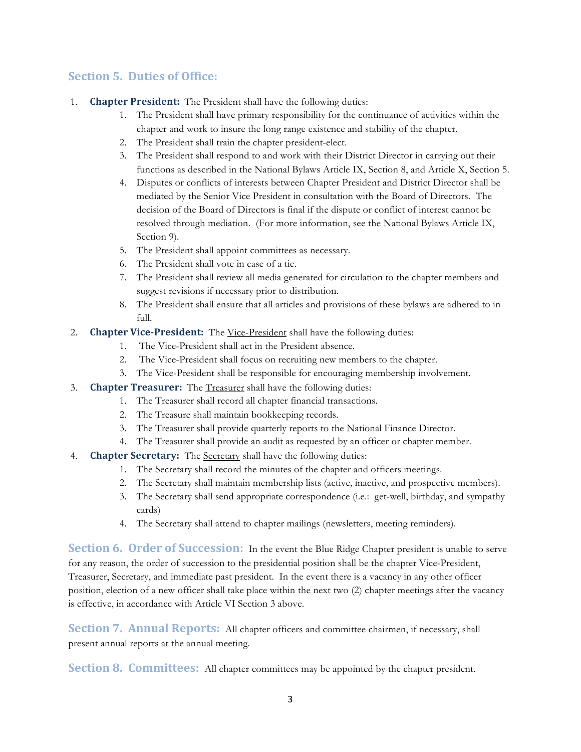#### **Section 5. Duties of Office:**

- 1. **Chapter President:** The **President** shall have the following duties:
	- 1. The President shall have primary responsibility for the continuance of activities within the chapter and work to insure the long range existence and stability of the chapter.
	- 2. The President shall train the chapter president-elect.
	- 3. The President shall respond to and work with their District Director in carrying out their functions as described in the National Bylaws Article IX, Section 8, and Article X, Section 5.
	- 4. Disputes or conflicts of interests between Chapter President and District Director shall be mediated by the Senior Vice President in consultation with the Board of Directors. The decision of the Board of Directors is final if the dispute or conflict of interest cannot be resolved through mediation. (For more information, see the National Bylaws Article IX, Section 9).
	- 5. The President shall appoint committees as necessary.
	- 6. The President shall vote in case of a tie.
	- 7. The President shall review all media generated for circulation to the chapter members and suggest revisions if necessary prior to distribution.
	- 8. The President shall ensure that all articles and provisions of these bylaws are adhered to in full.
- 2. **Chapter Vice-President:** The Vice-President shall have the following duties:
	- 1. The Vice-President shall act in the President absence.
	- 2. The Vice-President shall focus on recruiting new members to the chapter.
	- 3. The Vice-President shall be responsible for encouraging membership involvement.
- 3. **Chapter Treasurer:** The Treasurer shall have the following duties:
	- 1. The Treasurer shall record all chapter financial transactions.
	- 2. The Treasure shall maintain bookkeeping records.
	- 3. The Treasurer shall provide quarterly reports to the National Finance Director.
	- 4. The Treasurer shall provide an audit as requested by an officer or chapter member.
- 4. **Chapter Secretary:** The **Secretary** shall have the following duties:
	- 1. The Secretary shall record the minutes of the chapter and officers meetings.
	- 2. The Secretary shall maintain membership lists (active, inactive, and prospective members).
	- 3. The Secretary shall send appropriate correspondence (i.e.: get-well, birthday, and sympathy cards)
	- 4. The Secretary shall attend to chapter mailings (newsletters, meeting reminders).

**Section 6. Order of Succession:** In the event the Blue Ridge Chapter president is unable to serve for any reason, the order of succession to the presidential position shall be the chapter Vice-President, Treasurer, Secretary, and immediate past president. In the event there is a vacancy in any other officer position, election of a new officer shall take place within the next two (2) chapter meetings after the vacancy is effective, in accordance with Article VI Section 3 above.

**Section 7. Annual Reports:** All chapter officers and committee chairmen, if necessary, shall present annual reports at the annual meeting.

**Section 8. Committees:** All chapter committees may be appointed by the chapter president.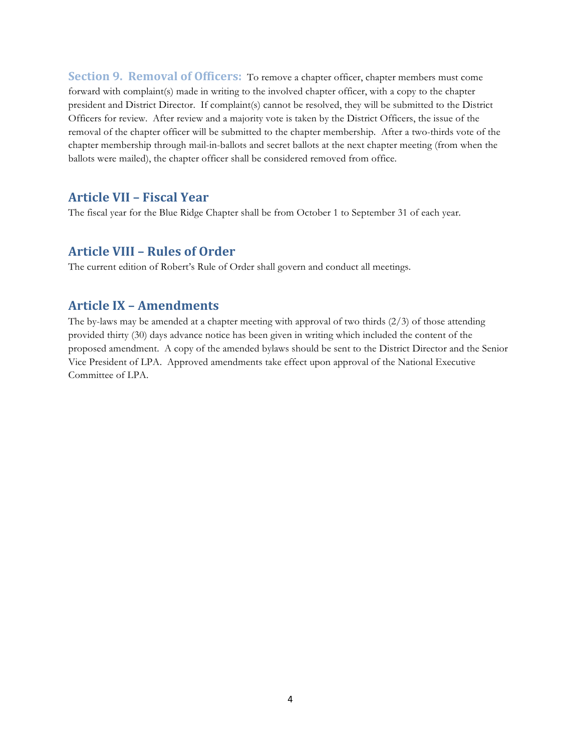**Section 9. Removal of Officers:** To remove a chapter officer, chapter members must come forward with complaint(s) made in writing to the involved chapter officer, with a copy to the chapter president and District Director. If complaint(s) cannot be resolved, they will be submitted to the District Officers for review. After review and a majority vote is taken by the District Officers, the issue of the removal of the chapter officer will be submitted to the chapter membership. After a two-thirds vote of the chapter membership through mail-in-ballots and secret ballots at the next chapter meeting (from when the ballots were mailed), the chapter officer shall be considered removed from office.

#### **Article VII – Fiscal Year**

The fiscal year for the Blue Ridge Chapter shall be from October 1 to September 31 of each year.

#### **Article VIII – Rules of Order**

The current edition of Robert's Rule of Order shall govern and conduct all meetings.

#### **Article IX – Amendments**

The by-laws may be amended at a chapter meeting with approval of two thirds (2/3) of those attending provided thirty (30) days advance notice has been given in writing which included the content of the proposed amendment. A copy of the amended bylaws should be sent to the District Director and the Senior Vice President of LPA. Approved amendments take effect upon approval of the National Executive Committee of LPA.